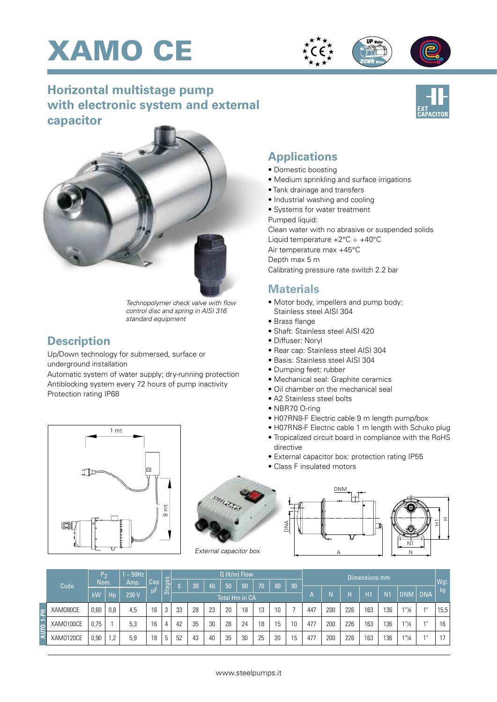





## **Horizontal multistage pump with electronic system and external capacitor**



## **Applications**

- Domestic boosting
- Medium sprinkling and surface irrigations
- Tank drainage and transfers
- Industrial washing and cooling
- Systems for water treatment
- Pumped liquid:

Clean water with no abrasive or suspended solids Liquid temperature +2°C ÷ +40°C

Air temperature max +45°C

Depth max 5 m

Calibrating pressure rate switch 2.2 bar

## **Materials**

- Motor body, impellers and pump body: Stainless steel AISI 304
- Brass flange
- Shaft: Stainless steel AISI 420
- Diffuser: Noryl
- Rear cap: Stainless steel AISI 304
- Basis: Stainless steel AISI 304
- Dumping feet: rubber
- Mechanical seal: Graphite ceramics
- Oil chamber on the mechanical seal
- A2 Stainless steel bolts
- NBR70 O-ring
- H07RN8-F Electric cable 9 m length pump/box
- H07RN8-F Electric cable 1 m length with Schuko plug
- Tropicalized circuit board in compliance with the RoHS directive
- External capacitor box: protection rating IP55
- Class F insulated motors





|             | Code      | P <sub>2</sub><br>Nom. |     | $\sim$ 50Hz<br>Amp. | Cap | <b>Stages</b> | Q (It/m) Flow  |    |    |    |    |      |    |    | Dimensions mm |     |     |     |                |                                  |         |            |
|-------------|-----------|------------------------|-----|---------------------|-----|---------------|----------------|----|----|----|----|------|----|----|---------------|-----|-----|-----|----------------|----------------------------------|---------|------------|
|             |           |                        |     |                     |     |               | n              | 30 | 40 | 50 | 60 | י070 | 80 | 90 |               |     |     |     |                |                                  |         | Wgt.<br>kg |
|             |           | kW                     | Hp  | 230 V               | uF  |               | Total Hm in CA |    |    |    |    |      |    |    | А             |     | н   | H1  | N <sub>1</sub> | <b>DNM</b>                       | I İ DNA |            |
| 盂<br>÷<br>E | XAM080CE  | 0,60                   | 0,8 | 4,5                 | 16  | 3             | 33             | 28 | 23 | 20 | 18 | 13   | 10 |    | 447           | 200 | 226 | 163 | 136            | 1"14                             | 4H      | 15,5       |
|             | XAM0100CE | 0,75                   |     | 5,3                 | 16  | 4             | 42             | 35 | 30 | 28 | 24 | 18   | 15 | 10 | 477           | 200 | 226 | 163 | 136            | $1"$ <sup>1</sup> / <sub>4</sub> | 4H      | 16         |
| ∣੩          | XAM0120CE | 0,90                   | 2   | 5,9                 | 18  | 5             | 52             | 43 | 40 | 35 | 30 | 25   | 20 | 15 | 477           | 200 | 226 | 163 | 136            | 1"1/4                            |         | 17         |

*Technopolymer check valve with flow control disc and spring in AISI 316 standard equipment*

## **Description**

Up/Down technology for submersed, surface or underground installation

Automatic system of water supply; dry-running protection Antiblocking system every 72 hours of pump inactivity Protection rating IP68